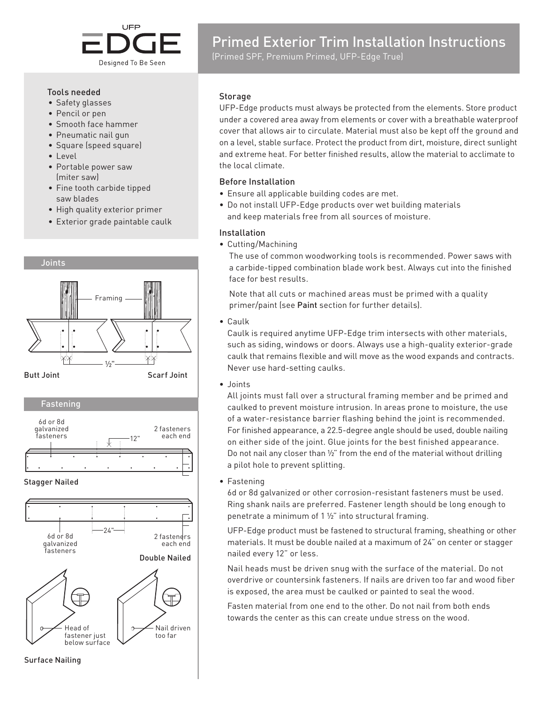

#### Tools needed

- Safety glasses
- Pencil or pen
- Smooth face hammer
- Pneumatic nail gun
- Square (speed square)
- Level
- Portable power saw (miter saw)
- Fine tooth carbide tipped saw blades
- High quality exterior primer
- Exterior grade paintable caulk





Surface Nailing

# Primed Exterior Trim Installation Instructions

(Primed SPF, Premium Primed, UFP-Edge True)

#### Storage

UFP-Edge products must always be protected from the elements. Store product under a covered area away from elements or cover with a breathable waterproof cover that allows air to circulate. Material must also be kept off the ground and on a level, stable surface. Protect the product from dirt, moisture, direct sunlight and extreme heat. For better finished results, allow the material to acclimate to the local climate.

## Before Installation

- Ensure all applicable building codes are met.
- Do not install UFP-Edge products over wet building materials and keep materials free from all sources of moisture.

## Installation

• Cutting/Machining

The use of common woodworking tools is recommended. Power saws with a carbide-tipped combination blade work best. Always cut into the finished face for best results.

Note that all cuts or machined areas must be primed with a quality primer/paint (see Paint section for further details).

• Caulk

Caulk is required anytime UFP-Edge trim intersects with other materials, such as siding, windows or doors. Always use a high-quality exterior-grade caulk that remains flexible and will move as the wood expands and contracts. Never use hard-setting caulks.

• Joints

All joints must fall over a structural framing member and be primed and caulked to prevent moisture intrusion. In areas prone to moisture, the use of a water-resistance barrier flashing behind the joint is recommended. For finished appearance, a 22.5-degree angle should be used, double nailing on either side of the joint. Glue joints for the best finished appearance. Do not nail any closer than ½" from the end of the material without drilling a pilot hole to prevent splitting.

• Fastening

6d or 8d galvanized or other corrosion-resistant fasteners must be used. Ring shank nails are preferred. Fastener length should be long enough to penetrate a minimum of 1 ½" into structural framing.

UFP-Edge product must be fastened to structural framing, sheathing or other materials. It must be double nailed at a maximum of 24" on center or stagger nailed every 12" or less.

Nail heads must be driven snug with the surface of the material. Do not overdrive or countersink fasteners. If nails are driven too far and wood fiber is exposed, the area must be caulked or painted to seal the wood.

Fasten material from one end to the other. Do not nail from both ends towards the center as this can create undue stress on the wood.